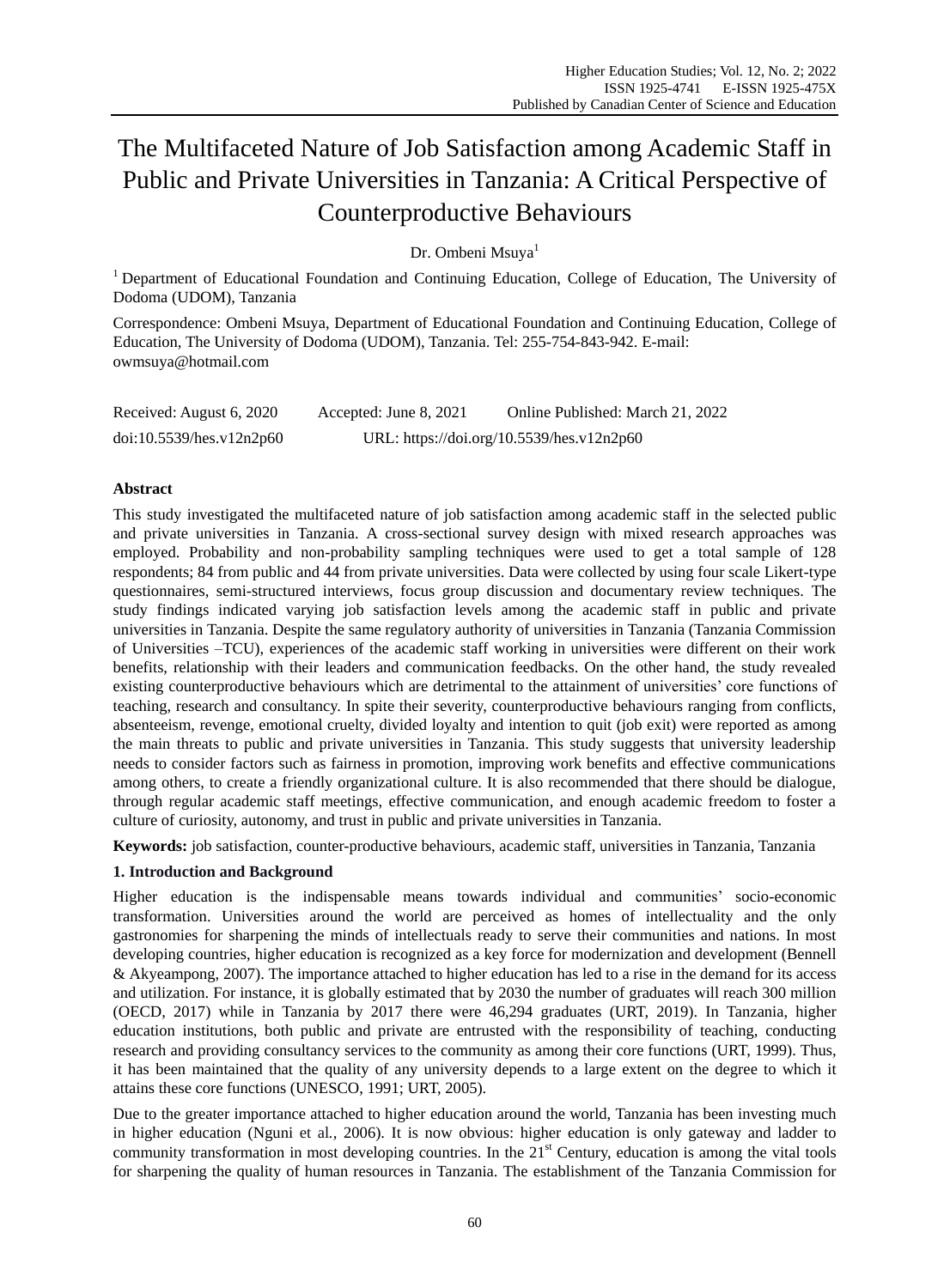# The Multifaceted Nature of Job Satisfaction among Academic Staff in Public and Private Universities in Tanzania: A Critical Perspective of Counterproductive Behaviours

Dr. Ombeni Msuya<sup>1</sup>

<sup>1</sup> Department of Educational Foundation and Continuing Education, College of Education, The University of Dodoma (UDOM), Tanzania

Correspondence: Ombeni Msuya, Department of Educational Foundation and Continuing Education, College of Education, The University of Dodoma (UDOM), Tanzania. Tel: 255-754-843-942. E-mail: [owmsuya@hotmail.com](mailto:owmsuya@hotmail.com)

| Received: August 6, 2020 | Accepted: June 8, 2021 | Online Published: March 21, 2022          |
|--------------------------|------------------------|-------------------------------------------|
| doi:10.5539/hes.v12n2p60 |                        | URL: https://doi.org/10.5539/hes.v12n2p60 |

## **Abstract**

This study investigated the multifaceted nature of job satisfaction among academic staff in the selected public and private universities in Tanzania. A cross-sectional survey design with mixed research approaches was employed. Probability and non-probability sampling techniques were used to get a total sample of 128 respondents; 84 from public and 44 from private universities. Data were collected by using four scale Likert-type questionnaires, semi-structured interviews, focus group discussion and documentary review techniques. The study findings indicated varying job satisfaction levels among the academic staff in public and private universities in Tanzania. Despite the same regulatory authority of universities in Tanzania (Tanzania Commission of Universities –TCU), experiences of the academic staff working in universities were different on their work benefits, relationship with their leaders and communication feedbacks. On the other hand, the study revealed existing counterproductive behaviours which are detrimental to the attainment of universities' core functions of teaching, research and consultancy. In spite their severity, counterproductive behaviours ranging from conflicts, absenteeism, revenge, emotional cruelty, divided loyalty and intention to quit (job exit) were reported as among the main threats to public and private universities in Tanzania. This study suggests that university leadership needs to consider factors such as fairness in promotion, improving work benefits and effective communications among others, to create a friendly organizational culture. It is also recommended that there should be dialogue, through regular academic staff meetings, effective communication, and enough academic freedom to foster a culture of curiosity, autonomy, and trust in public and private universities in Tanzania.

**Keywords:** job satisfaction, counter-productive behaviours, academic staff, universities in Tanzania, Tanzania

## **1. Introduction and Background**

Higher education is the indispensable means towards individual and communities' socio-economic transformation. Universities around the world are perceived as homes of intellectuality and the only gastronomies for sharpening the minds of intellectuals ready to serve their communities and nations. In most developing countries, higher education is recognized as a key force for modernization and development (Bennell & Akyeampong, 2007). The importance attached to higher education has led to a rise in the demand for its access and utilization. For instance, it is globally estimated that by 2030 the number of graduates will reach 300 million (OECD, 2017) while in Tanzania by 2017 there were 46,294 graduates (URT, 2019). In Tanzania, higher education institutions, both public and private are entrusted with the responsibility of teaching, conducting research and providing consultancy services to the community as among their core functions (URT, 1999). Thus, it has been maintained that the quality of any university depends to a large extent on the degree to which it attains these core functions (UNESCO, 1991; URT, 2005).

Due to the greater importance attached to higher education around the world, Tanzania has been investing much in higher education (Nguni et al*.,* 2006). It is now obvious: higher education is only gateway and ladder to community transformation in most developing countries. In the 21<sup>st</sup> Century, education is among the vital tools for sharpening the quality of human resources in Tanzania. The establishment of the Tanzania Commission for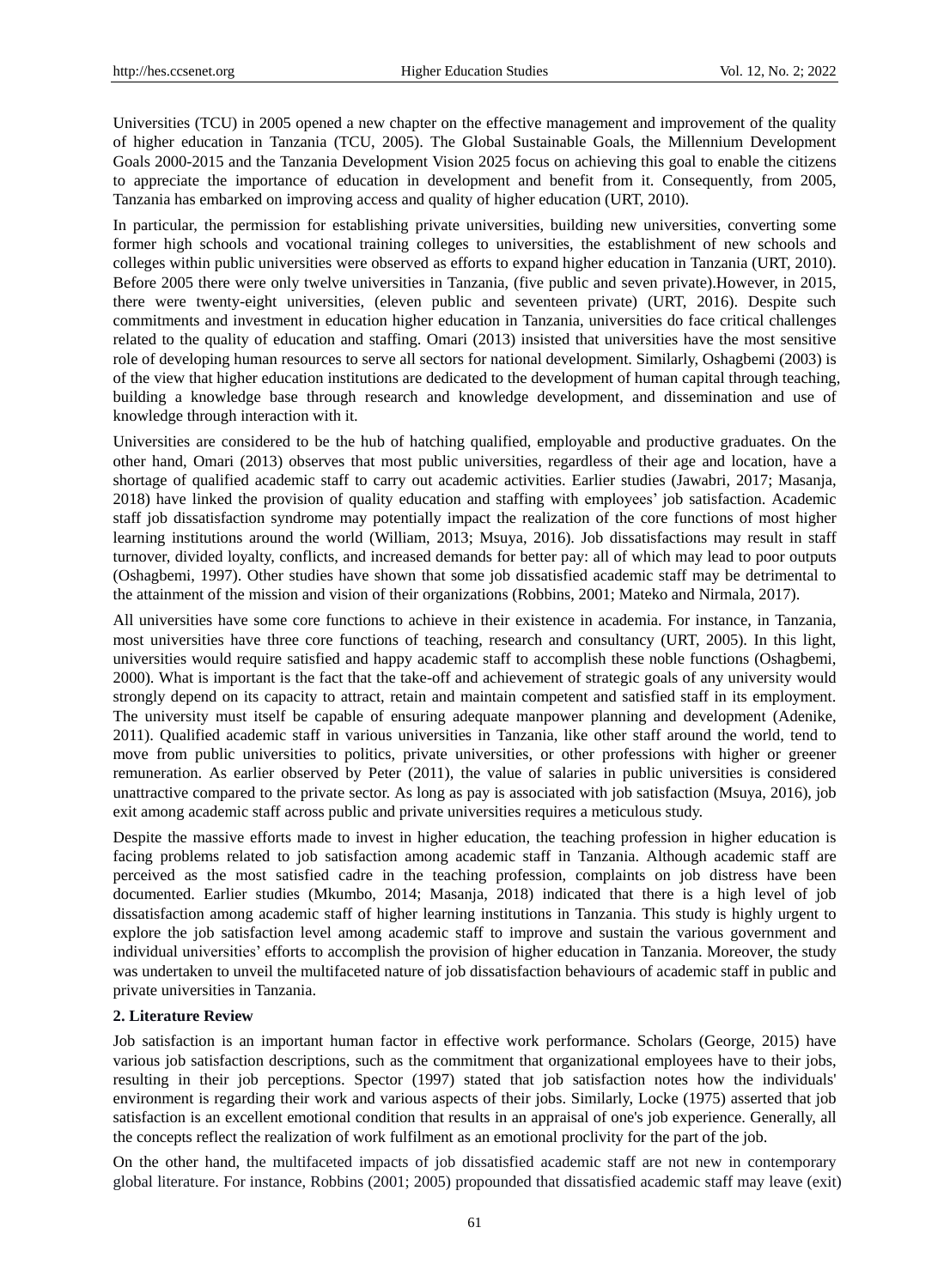Universities (TCU) in 2005 opened a new chapter on the effective management and improvement of the quality of higher education in Tanzania (TCU, 2005). The Global Sustainable Goals, the Millennium Development Goals 2000-2015 and the Tanzania Development Vision 2025 focus on achieving this goal to enable the citizens to appreciate the importance of education in development and benefit from it. Consequently, from 2005, Tanzania has embarked on improving access and quality of higher education (URT, 2010).

In particular, the permission for establishing private universities, building new universities, converting some former high schools and vocational training colleges to universities, the establishment of new schools and colleges within public universities were observed as efforts to expand higher education in Tanzania (URT, 2010). Before 2005 there were only twelve universities in Tanzania, (five public and seven private).However, in 2015, there were twenty-eight universities, (eleven public and seventeen private) (URT, 2016). Despite such commitments and investment in education higher education in Tanzania, universities do face critical challenges related to the quality of education and staffing. Omari (2013) insisted that universities have the most sensitive role of developing human resources to serve all sectors for national development. Similarly, Oshagbemi (2003) is of the view that higher education institutions are dedicated to the development of human capital through teaching, building a knowledge base through research and knowledge development, and dissemination and use of knowledge through interaction with it.

Universities are considered to be the hub of hatching qualified, employable and productive graduates. On the other hand, Omari (2013) observes that most public universities, regardless of their age and location, have a shortage of qualified academic staff to carry out academic activities. Earlier studies (Jawabri, 2017; Masanja, 2018) have linked the provision of quality education and staffing with employees' job satisfaction. Academic staff job dissatisfaction syndrome may potentially impact the realization of the core functions of most higher learning institutions around the world (William, 2013; Msuya, 2016). Job dissatisfactions may result in staff turnover, divided loyalty, conflicts, and increased demands for better pay: all of which may lead to poor outputs (Oshagbemi, 1997). Other studies have shown that some job dissatisfied academic staff may be detrimental to the attainment of the mission and vision of their organizations (Robbins, 2001; Mateko and Nirmala, 2017).

All universities have some core functions to achieve in their existence in academia. For instance, in Tanzania, most universities have three core functions of teaching, research and consultancy (URT, 2005). In this light, universities would require satisfied and happy academic staff to accomplish these noble functions (Oshagbemi, 2000). What is important is the fact that the take-off and achievement of strategic goals of any university would strongly depend on its capacity to attract, retain and maintain competent and satisfied staff in its employment. The university must itself be capable of ensuring adequate manpower planning and development (Adenike, 2011). Qualified academic staff in various universities in Tanzania, like other staff around the world, tend to move from public universities to politics, private universities, or other professions with higher or greener remuneration. As earlier observed by Peter (2011), the value of salaries in public universities is considered unattractive compared to the private sector. As long as pay is associated with job satisfaction (Msuya, 2016), job exit among academic staff across public and private universities requires a meticulous study.

Despite the massive efforts made to invest in higher education, the teaching profession in higher education is facing problems related to job satisfaction among academic staff in Tanzania. Although academic staff are perceived as the most satisfied cadre in the teaching profession, complaints on job distress have been documented. Earlier studies (Mkumbo, 2014; Masanja, 2018) indicated that there is a high level of job dissatisfaction among academic staff of higher learning institutions in Tanzania. This study is highly urgent to explore the job satisfaction level among academic staff to improve and sustain the various government and individual universities' efforts to accomplish the provision of higher education in Tanzania. Moreover, the study was undertaken to unveil the multifaceted nature of job dissatisfaction behaviours of academic staff in public and private universities in Tanzania.

## **2. Literature Review**

Job satisfaction is an important human factor in effective work performance. Scholars (George, 2015) have various job satisfaction descriptions, such as the commitment that organizational employees have to their jobs, resulting in their job perceptions. Spector (1997) stated that job satisfaction notes how the individuals' environment is regarding their work and various aspects of their jobs. Similarly, Locke (1975) asserted that job satisfaction is an excellent emotional condition that results in an appraisal of one's job experience. Generally, all the concepts reflect the realization of work fulfilment as an emotional proclivity for the part of the job.

On the other hand, the multifaceted impacts of job dissatisfied academic staff are not new in contemporary global literature. For instance, Robbins (2001; 2005) propounded that dissatisfied academic staff may leave (exit)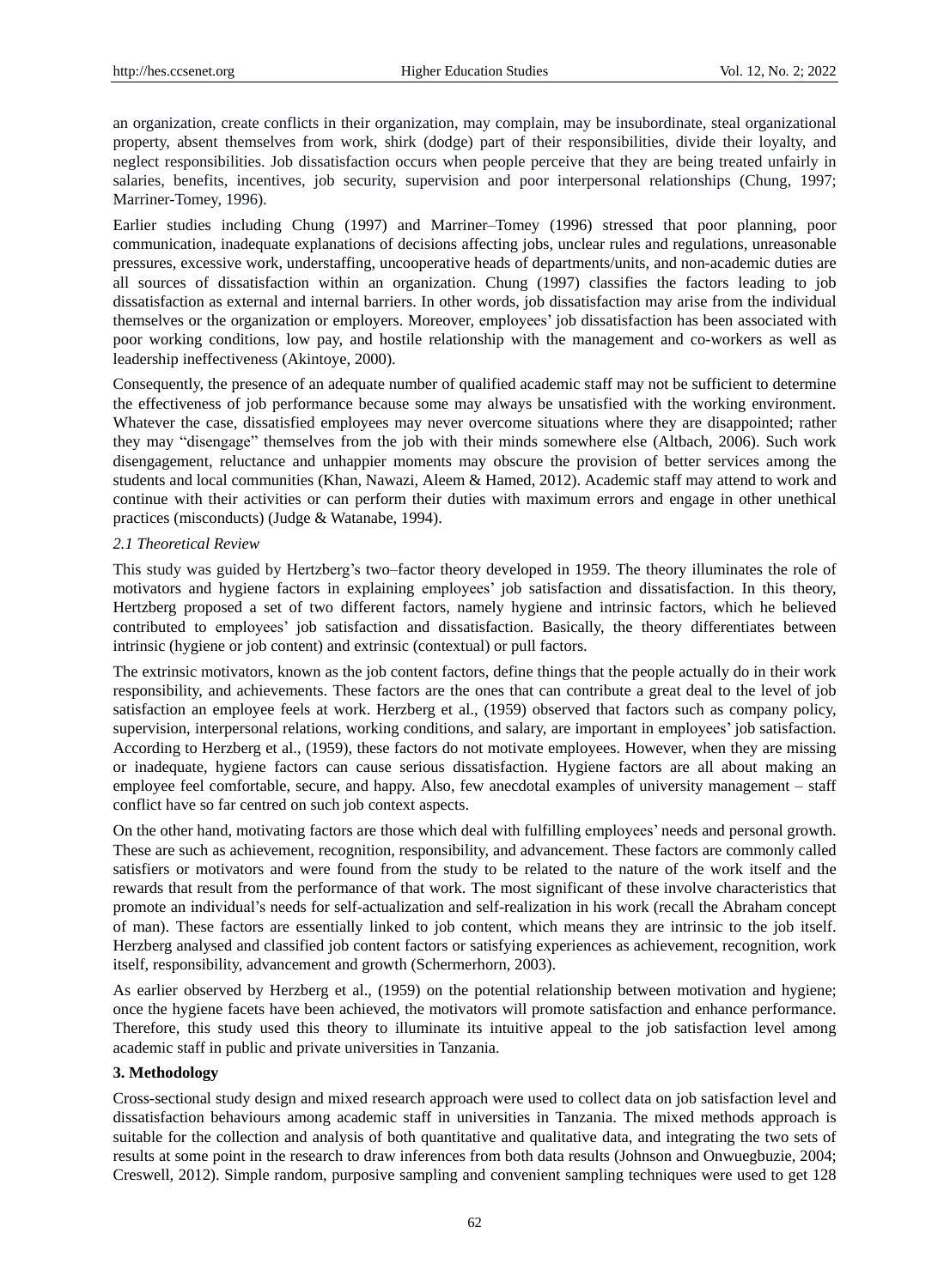an organization, create conflicts in their organization, may complain, may be insubordinate, steal organizational property, absent themselves from work, shirk (dodge) part of their responsibilities, divide their loyalty, and neglect responsibilities. Job dissatisfaction occurs when people perceive that they are being treated unfairly in salaries, benefits, incentives, job security, supervision and poor interpersonal relationships (Chung, 1997; Marriner-Tomey, 1996).

Earlier studies including Chung (1997) and Marriner–Tomey (1996) stressed that poor planning, poor communication, inadequate explanations of decisions affecting jobs, unclear rules and regulations, unreasonable pressures, excessive work, understaffing, uncooperative heads of departments/units, and non-academic duties are all sources of dissatisfaction within an organization. Chung (1997) classifies the factors leading to job dissatisfaction as external and internal barriers. In other words, job dissatisfaction may arise from the individual themselves or the organization or employers. Moreover, employees' job dissatisfaction has been associated with poor working conditions, low pay, and hostile relationship with the management and co-workers as well as leadership ineffectiveness (Akintoye, 2000).

Consequently, the presence of an adequate number of qualified academic staff may not be sufficient to determine the effectiveness of job performance because some may always be unsatisfied with the working environment. Whatever the case, dissatisfied employees may never overcome situations where they are disappointed; rather they may "disengage" themselves from the job with their minds somewhere else (Altbach, 2006). Such work disengagement, reluctance and unhappier moments may obscure the provision of better services among the students and local communities (Khan, Nawazi, Aleem & Hamed, 2012). Academic staff may attend to work and continue with their activities or can perform their duties with maximum errors and engage in other unethical practices (misconducts) (Judge & Watanabe, 1994).

## *2.1 Theoretical Review*

This study was guided by Hertzberg's two–factor theory developed in 1959. The theory illuminates the role of motivators and hygiene factors in explaining employees' job satisfaction and dissatisfaction. In this theory, Hertzberg proposed a set of two different factors, namely hygiene and intrinsic factors, which he believed contributed to employees' job satisfaction and dissatisfaction. Basically, the theory differentiates between intrinsic (hygiene or job content) and extrinsic (contextual) or pull factors.

The extrinsic motivators, known as the job content factors, define things that the people actually do in their work responsibility, and achievements. These factors are the ones that can contribute a great deal to the level of job satisfaction an employee feels at work. Herzberg et al., (1959) observed that factors such as company policy, supervision, interpersonal relations, working conditions, and salary, are important in employees' job satisfaction. According to Herzberg et al., (1959), these factors do not motivate employees. However, when they are missing or inadequate, hygiene factors can cause serious dissatisfaction. Hygiene factors are all about making an employee feel comfortable, secure, and happy. Also, few anecdotal examples of university management – staff conflict have so far centred on such job context aspects.

On the other hand, motivating factors are those which deal with fulfilling employees' needs and personal growth. These are such as achievement, recognition, responsibility, and advancement. These factors are commonly called satisfiers or motivators and were found from the study to be related to the nature of the work itself and the rewards that result from the performance of that work. The most significant of these involve characteristics that promote an individual's needs for self-actualization and self-realization in his work (recall the Abraham concept of man). These factors are essentially linked to job content, which means they are intrinsic to the job itself. Herzberg analysed and classified job content factors or satisfying experiences as achievement, recognition, work itself, responsibility, advancement and growth (Schermerhorn, 2003).

As earlier observed by Herzberg et al., (1959) on the potential relationship between motivation and hygiene; once the hygiene facets have been achieved, the motivators will promote satisfaction and enhance performance. Therefore, this study used this theory to illuminate its intuitive appeal to the job satisfaction level among academic staff in public and private universities in Tanzania.

## **3. Methodology**

Cross-sectional study design and mixed research approach were used to collect data on job satisfaction level and dissatisfaction behaviours among academic staff in universities in Tanzania. The mixed methods approach is suitable for the collection and analysis of both quantitative and qualitative data, and integrating the two sets of results at some point in the research to draw inferences from both data results (Johnson and Onwuegbuzie, 2004; Creswell, 2012). Simple random, purposive sampling and convenient sampling techniques were used to get 128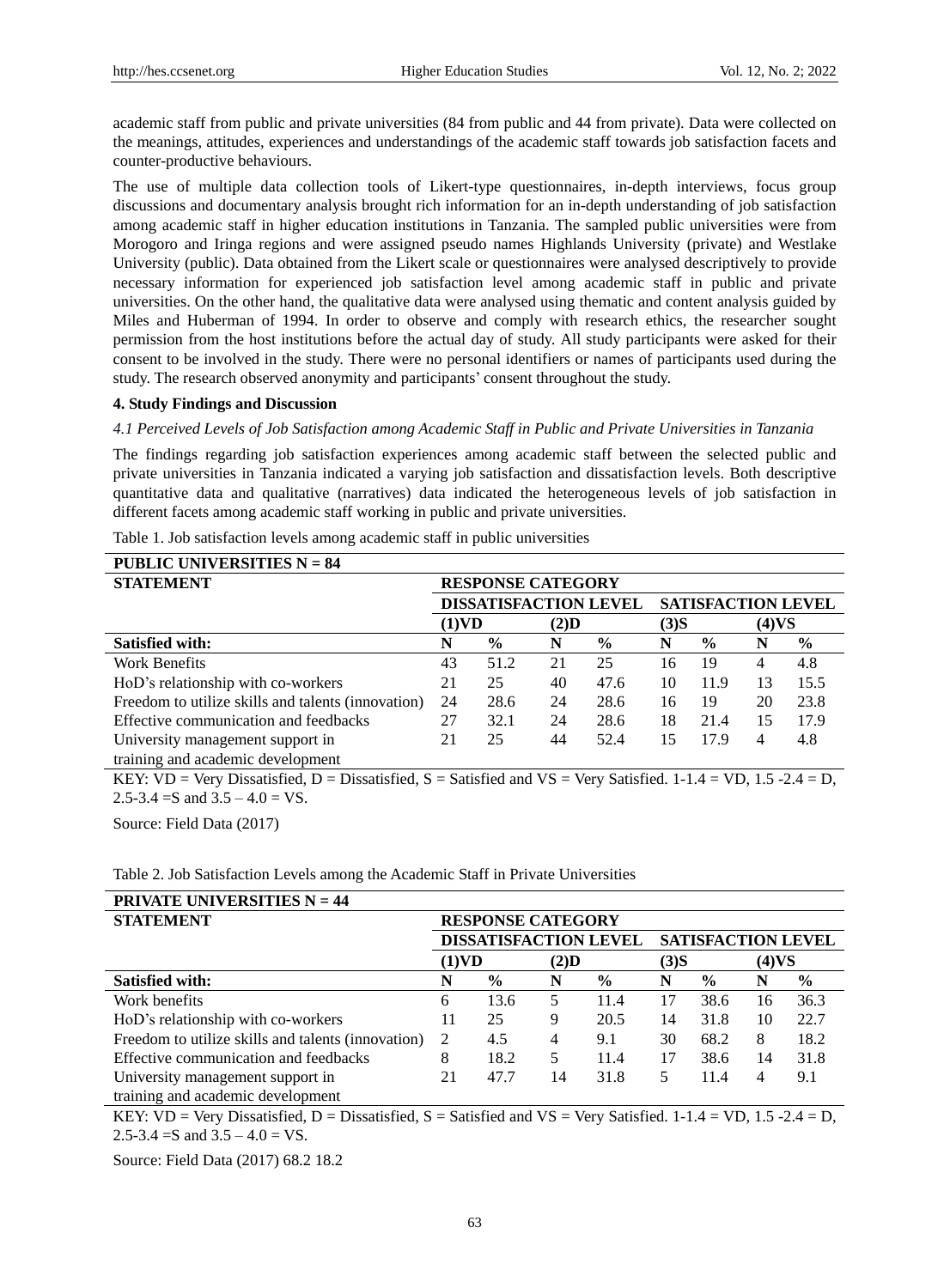academic staff from public and private universities (84 from public and 44 from private). Data were collected on the meanings, attitudes, experiences and understandings of the academic staff towards job satisfaction facets and counter-productive behaviours.

The use of multiple data collection tools of Likert-type questionnaires, in-depth interviews, focus group discussions and documentary analysis brought rich information for an in-depth understanding of job satisfaction among academic staff in higher education institutions in Tanzania. The sampled public universities were from Morogoro and Iringa regions and were assigned pseudo names Highlands University (private) and Westlake University (public). Data obtained from the Likert scale or questionnaires were analysed descriptively to provide necessary information for experienced job satisfaction level among academic staff in public and private universities. On the other hand, the qualitative data were analysed using thematic and content analysis guided by Miles and Huberman of 1994. In order to observe and comply with research ethics, the researcher sought permission from the host institutions before the actual day of study. All study participants were asked for their consent to be involved in the study. There were no personal identifiers or names of participants used during the study. The research observed anonymity and participants' consent throughout the study.

#### **4. Study Findings and Discussion**

*4.1 Perceived Levels of Job Satisfaction among Academic Staff in Public and Private Universities in Tanzania*

The findings regarding job satisfaction experiences among academic staff between the selected public and private universities in Tanzania indicated a varying job satisfaction and dissatisfaction levels. Both descriptive quantitative data and qualitative (narratives) data indicated the heterogeneous levels of job satisfaction in different facets among academic staff working in public and private universities.

| <b>PUBLIC UNIVERSITIES <math>N = 84</math></b>     |                              |               |      |               |       |                           |    |               |  |
|----------------------------------------------------|------------------------------|---------------|------|---------------|-------|---------------------------|----|---------------|--|
| <b>STATEMENT</b>                                   | <b>RESPONSE CATEGORY</b>     |               |      |               |       |                           |    |               |  |
|                                                    | <b>DISSATISFACTION LEVEL</b> |               |      |               |       | <b>SATISFACTION LEVEL</b> |    |               |  |
|                                                    | (1)VD<br>$(2)$ D             |               | (3)S |               | (4)VS |                           |    |               |  |
| <b>Satisfied with:</b>                             | N                            | $\frac{6}{9}$ | N    | $\frac{6}{9}$ | N     | $\frac{0}{0}$             | N  | $\frac{0}{0}$ |  |
| Work Benefits                                      | 43                           | 51.2          | 21   | 25            | 16    | 19                        | 4  | 4.8           |  |
| HoD's relationship with co-workers                 | 21                           | 25            | 40   | 47.6          | 10    | 11.9                      | 13 | 15.5          |  |
| Freedom to utilize skills and talents (innovation) | 24                           | 28.6          | 24   | 28.6          | 16    | 19                        | 20 | 23.8          |  |
| Effective communication and feedbacks              | 27                           | 32.1          | 24   | 28.6          | 18    | 21.4                      | 15 | 17.9          |  |
| University management support in                   | 21                           | 25            | 44   | 52.4          | 15    | 17.9                      | 4  | 4.8           |  |
| training and academic development                  |                              |               |      |               |       |                           |    |               |  |

Table 1. Job satisfaction levels among academic staff in public universities

KEY: VD = Very Dissatisfied, D = Dissatisfied, S = Satisfied and VS = Very Satisfied.  $1-1.4 =$  VD,  $1.5 - 2.4 =$  D, 2.5-3.4 = S and  $3.5 - 4.0 = VS$ .

Source: Field Data (2017)

Table 2. Job Satisfaction Levels among the Academic Staff in Private Universities

| <b>PRIVATE UNIVERSITIES <math>N = 44</math></b>    |                              |               |      |               |       |                           |    |               |  |
|----------------------------------------------------|------------------------------|---------------|------|---------------|-------|---------------------------|----|---------------|--|
| <b>STATEMENT</b>                                   | <b>RESPONSE CATEGORY</b>     |               |      |               |       |                           |    |               |  |
|                                                    | <b>DISSATISFACTION LEVEL</b> |               |      |               |       | <b>SATISFACTION LEVEL</b> |    |               |  |
|                                                    | (1)VD<br>$(2)$ D             |               | (3)S |               | (4)VS |                           |    |               |  |
| <b>Satisfied with:</b>                             | N                            | $\frac{0}{0}$ | N    | $\frac{0}{0}$ | N     | $\frac{0}{0}$             | N  | $\frac{6}{9}$ |  |
| Work benefits                                      | 6                            | 13.6          |      | 11.4          | 17    | 38.6                      | 16 | 36.3          |  |
| HoD's relationship with co-workers                 | 11                           | 25            | 9    | 20.5          | 14    | 31.8                      | 10 | 22.7          |  |
| Freedom to utilize skills and talents (innovation) | 2                            | 4.5           | 4    | 9.1           | 30    | 68.2                      | 8  | 18.2          |  |
| Effective communication and feedbacks              | 8                            | 18.2          |      | 11.4          | 17    | 38.6                      | 14 | 31.8          |  |
| University management support in                   | 21                           | 47.7          | 14   | 31.8          | 5     | 11.4                      | 4  | 9.1           |  |
| training and academic development                  |                              |               |      |               |       |                           |    |               |  |

KEY: VD = Very Dissatisfied,  $D =$  Dissatisfied,  $S =$  Satisfied and VS = Very Satisfied. 1-1.4 = VD, 1.5 -2.4 = D, 2.5-3.4 = S and  $3.5 - 4.0 = VS$ .

Source: Field Data (2017) 68.2 18.2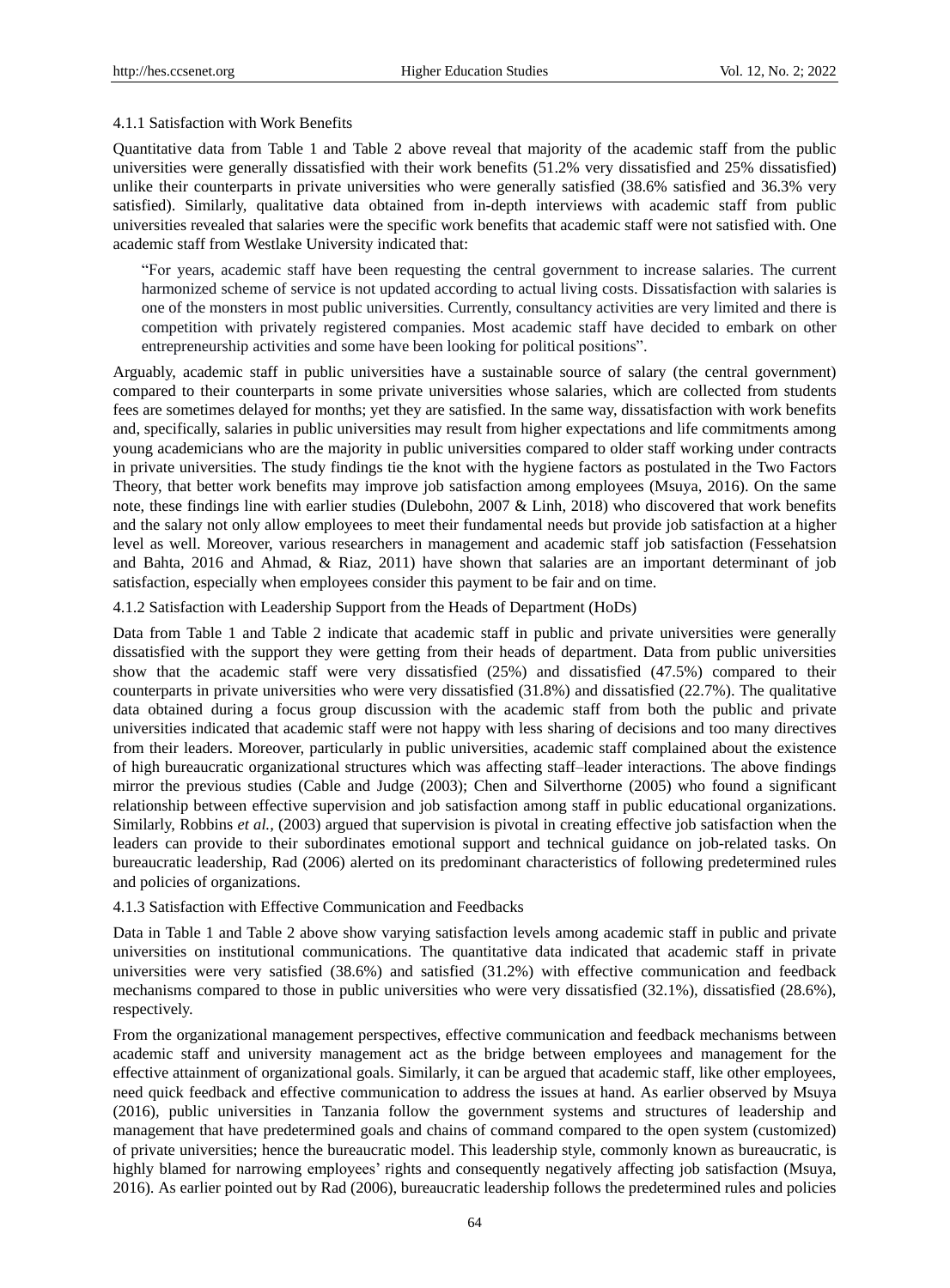## 4.1.1 Satisfaction with Work Benefits

Quantitative data from Table 1 and Table 2 above reveal that majority of the academic staff from the public universities were generally dissatisfied with their work benefits (51.2% very dissatisfied and 25% dissatisfied) unlike their counterparts in private universities who were generally satisfied (38.6% satisfied and 36.3% very satisfied). Similarly, qualitative data obtained from in-depth interviews with academic staff from public universities revealed that salaries were the specific work benefits that academic staff were not satisfied with. One academic staff from Westlake University indicated that:

"For years, academic staff have been requesting the central government to increase salaries. The current harmonized scheme of service is not updated according to actual living costs. Dissatisfaction with salaries is one of the monsters in most public universities. Currently, consultancy activities are very limited and there is competition with privately registered companies. Most academic staff have decided to embark on other entrepreneurship activities and some have been looking for political positions".

Arguably, academic staff in public universities have a sustainable source of salary (the central government) compared to their counterparts in some private universities whose salaries, which are collected from students fees are sometimes delayed for months; yet they are satisfied. In the same way, dissatisfaction with work benefits and, specifically, salaries in public universities may result from higher expectations and life commitments among young academicians who are the majority in public universities compared to older staff working under contracts in private universities. The study findings tie the knot with the hygiene factors as postulated in the Two Factors Theory, that better work benefits may improve job satisfaction among employees (Msuya, 2016). On the same note, these findings line with earlier studies (Dulebohn, 2007 & Linh, 2018) who discovered that work benefits and the salary not only allow employees to meet their fundamental needs but provide job satisfaction at a higher level as well. Moreover, various researchers in management and academic staff job satisfaction (Fessehatsion and Bahta, 2016 and Ahmad, & Riaz, 2011) have shown that salaries are an important determinant of job satisfaction, especially when employees consider this payment to be fair and on time.

## 4.1.2 Satisfaction with Leadership Support from the Heads of Department (HoDs)

Data from Table 1 and Table 2 indicate that academic staff in public and private universities were generally dissatisfied with the support they were getting from their heads of department. Data from public universities show that the academic staff were very dissatisfied (25%) and dissatisfied (47.5%) compared to their counterparts in private universities who were very dissatisfied (31.8%) and dissatisfied (22.7%). The qualitative data obtained during a focus group discussion with the academic staff from both the public and private universities indicated that academic staff were not happy with less sharing of decisions and too many directives from their leaders. Moreover, particularly in public universities, academic staff complained about the existence of high bureaucratic organizational structures which was affecting staff–leader interactions. The above findings mirror the previous studies (Cable and Judge (2003); Chen and Silverthorne (2005) who found a significant relationship between effective supervision and job satisfaction among staff in public educational organizations. Similarly, Robbins *et al.,* (2003) argued that supervision is pivotal in creating effective job satisfaction when the leaders can provide to their subordinates emotional support and technical guidance on job-related tasks. On bureaucratic leadership, Rad (2006) alerted on its predominant characteristics of following predetermined rules and policies of organizations.

## 4.1.3 Satisfaction with Effective Communication and Feedbacks

Data in Table 1 and Table 2 above show varying satisfaction levels among academic staff in public and private universities on institutional communications. The quantitative data indicated that academic staff in private universities were very satisfied (38.6%) and satisfied (31.2%) with effective communication and feedback mechanisms compared to those in public universities who were very dissatisfied (32.1%), dissatisfied (28.6%), respectively.

From the organizational management perspectives, effective communication and feedback mechanisms between academic staff and university management act as the bridge between employees and management for the effective attainment of organizational goals. Similarly, it can be argued that academic staff, like other employees, need quick feedback and effective communication to address the issues at hand. As earlier observed by Msuya (2016), public universities in Tanzania follow the government systems and structures of leadership and management that have predetermined goals and chains of command compared to the open system (customized) of private universities; hence the bureaucratic model. This leadership style, commonly known as bureaucratic, is highly blamed for narrowing employees' rights and consequently negatively affecting job satisfaction (Msuya, 2016). As earlier pointed out by Rad (2006), bureaucratic leadership follows the predetermined rules and policies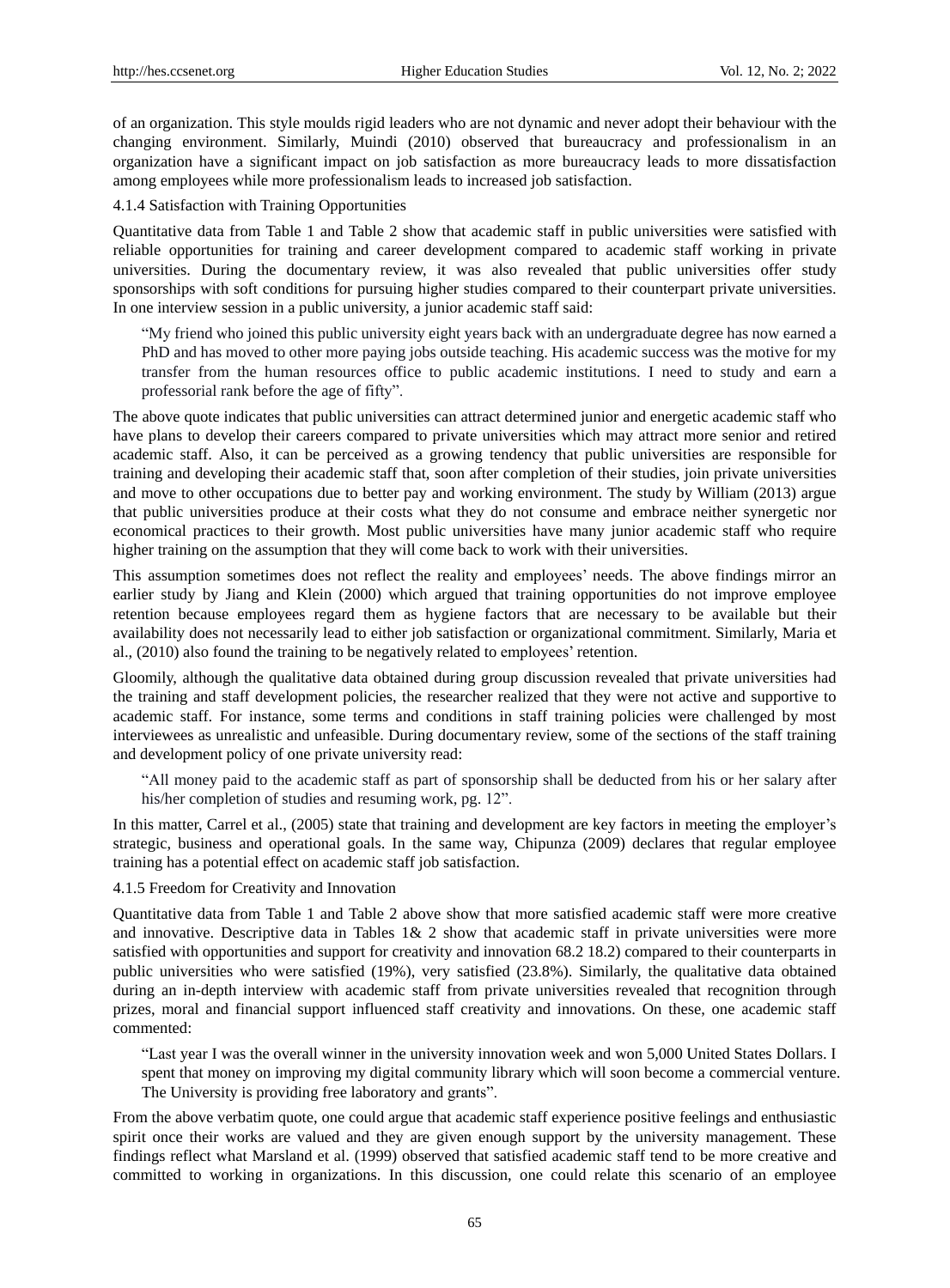of an organization. This style moulds rigid leaders who are not dynamic and never adopt their behaviour with the changing environment. Similarly, Muindi (2010) observed that bureaucracy and professionalism in an organization have a significant impact on job satisfaction as more bureaucracy leads to more dissatisfaction among employees while more professionalism leads to increased job satisfaction.

4.1.4 Satisfaction with Training Opportunities

Quantitative data from Table 1 and Table 2 show that academic staff in public universities were satisfied with reliable opportunities for training and career development compared to academic staff working in private universities. During the documentary review, it was also revealed that public universities offer study sponsorships with soft conditions for pursuing higher studies compared to their counterpart private universities. In one interview session in a public university, a junior academic staff said:

"My friend who joined this public university eight years back with an undergraduate degree has now earned a PhD and has moved to other more paying jobs outside teaching. His academic success was the motive for my transfer from the human resources office to public academic institutions. I need to study and earn a professorial rank before the age of fifty".

The above quote indicates that public universities can attract determined junior and energetic academic staff who have plans to develop their careers compared to private universities which may attract more senior and retired academic staff. Also, it can be perceived as a growing tendency that public universities are responsible for training and developing their academic staff that, soon after completion of their studies, join private universities and move to other occupations due to better pay and working environment. The study by William (2013) argue that public universities produce at their costs what they do not consume and embrace neither synergetic nor economical practices to their growth. Most public universities have many junior academic staff who require higher training on the assumption that they will come back to work with their universities.

This assumption sometimes does not reflect the reality and employees' needs. The above findings mirror an earlier study by Jiang and Klein (2000) which argued that training opportunities do not improve employee retention because employees regard them as hygiene factors that are necessary to be available but their availability does not necessarily lead to either job satisfaction or organizational commitment. Similarly, Maria et al., (2010) also found the training to be negatively related to employees' retention.

Gloomily, although the qualitative data obtained during group discussion revealed that private universities had the training and staff development policies, the researcher realized that they were not active and supportive to academic staff. For instance, some terms and conditions in staff training policies were challenged by most interviewees as unrealistic and unfeasible. During documentary review, some of the sections of the staff training and development policy of one private university read:

"All money paid to the academic staff as part of sponsorship shall be deducted from his or her salary after his/her completion of studies and resuming work, pg. 12".

In this matter, Carrel et al., (2005) state that training and development are key factors in meeting the employer's strategic, business and operational goals. In the same way, Chipunza (2009) declares that regular employee training has a potential effect on academic staff job satisfaction.

## 4.1.5 Freedom for Creativity and Innovation

Quantitative data from Table 1 and Table 2 above show that more satisfied academic staff were more creative and innovative. Descriptive data in Tables  $1\& 2$  show that academic staff in private universities were more satisfied with opportunities and support for creativity and innovation 68.2 18.2) compared to their counterparts in public universities who were satisfied (19%), very satisfied (23.8%). Similarly, the qualitative data obtained during an in-depth interview with academic staff from private universities revealed that recognition through prizes, moral and financial support influenced staff creativity and innovations. On these, one academic staff commented:

"Last year I was the overall winner in the university innovation week and won 5,000 United States Dollars. I spent that money on improving my digital community library which will soon become a commercial venture. The University is providing free laboratory and grants".

From the above verbatim quote, one could argue that academic staff experience positive feelings and enthusiastic spirit once their works are valued and they are given enough support by the university management. These findings reflect what Marsland et al. (1999) observed that satisfied academic staff tend to be more creative and committed to working in organizations. In this discussion, one could relate this scenario of an employee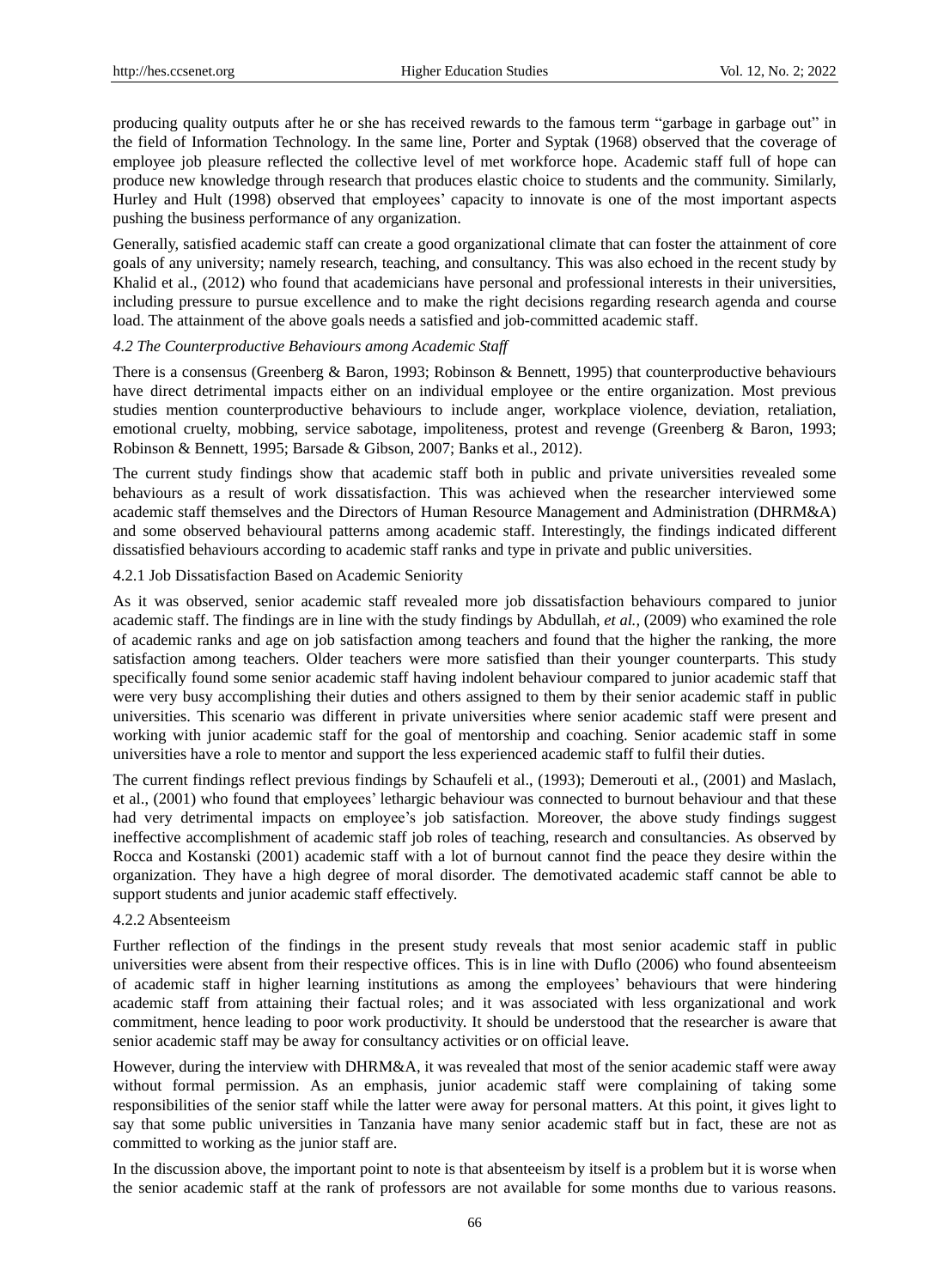producing quality outputs after he or she has received rewards to the famous term "garbage in garbage out" in the field of Information Technology. In the same line, Porter and Syptak (1968) observed that the coverage of employee job pleasure reflected the collective level of met workforce hope. Academic staff full of hope can produce new knowledge through research that produces elastic choice to students and the community. Similarly, Hurley and Hult (1998) observed that employees' capacity to innovate is one of the most important aspects pushing the business performance of any organization.

Generally, satisfied academic staff can create a good organizational climate that can foster the attainment of core goals of any university; namely research, teaching, and consultancy. This was also echoed in the recent study by Khalid et al., (2012) who found that academicians have personal and professional interests in their universities, including pressure to pursue excellence and to make the right decisions regarding research agenda and course load. The attainment of the above goals needs a satisfied and job-committed academic staff.

## *4.2 The Counterproductive Behaviours among Academic Staff*

There is a consensus (Greenberg & Baron, 1993; Robinson & Bennett, 1995) that counterproductive behaviours have direct detrimental impacts either on an individual employee or the entire organization. Most previous studies mention counterproductive behaviours to include anger, workplace violence, deviation, retaliation, emotional cruelty, mobbing, service sabotage, impoliteness, protest and revenge (Greenberg & Baron, 1993; Robinson & Bennett, 1995; Barsade & Gibson, 2007; Banks et al., 2012).

The current study findings show that academic staff both in public and private universities revealed some behaviours as a result of work dissatisfaction. This was achieved when the researcher interviewed some academic staff themselves and the Directors of Human Resource Management and Administration (DHRM&A) and some observed behavioural patterns among academic staff. Interestingly, the findings indicated different dissatisfied behaviours according to academic staff ranks and type in private and public universities.

#### 4.2.1 Job Dissatisfaction Based on Academic Seniority

As it was observed, senior academic staff revealed more job dissatisfaction behaviours compared to junior academic staff. The findings are in line with the study findings by Abdullah, *et al.,* (2009) who examined the role of academic ranks and age on job satisfaction among teachers and found that the higher the ranking, the more satisfaction among teachers. Older teachers were more satisfied than their younger counterparts. This study specifically found some senior academic staff having indolent behaviour compared to junior academic staff that were very busy accomplishing their duties and others assigned to them by their senior academic staff in public universities. This scenario was different in private universities where senior academic staff were present and working with junior academic staff for the goal of mentorship and coaching. Senior academic staff in some universities have a role to mentor and support the less experienced academic staff to fulfil their duties.

The current findings reflect previous findings by Schaufeli et al., (1993); Demerouti et al., (2001) and Maslach, et al., (2001) who found that employees' lethargic behaviour was connected to burnout behaviour and that these had very detrimental impacts on employee's job satisfaction. Moreover, the above study findings suggest ineffective accomplishment of academic staff job roles of teaching, research and consultancies. As observed by Rocca and Kostanski (2001) academic staff with a lot of burnout cannot find the peace they desire within the organization. They have a high degree of moral disorder. The demotivated academic staff cannot be able to support students and junior academic staff effectively.

#### 4.2.2 Absenteeism

Further reflection of the findings in the present study reveals that most senior academic staff in public universities were absent from their respective offices. This is in line with Duflo (2006) who found absenteeism of academic staff in higher learning institutions as among the employees' behaviours that were hindering academic staff from attaining their factual roles; and it was associated with less organizational and work commitment, hence leading to poor work productivity. It should be understood that the researcher is aware that senior academic staff may be away for consultancy activities or on official leave.

However, during the interview with DHRM&A, it was revealed that most of the senior academic staff were away without formal permission. As an emphasis, junior academic staff were complaining of taking some responsibilities of the senior staff while the latter were away for personal matters. At this point, it gives light to say that some public universities in Tanzania have many senior academic staff but in fact, these are not as committed to working as the junior staff are.

In the discussion above, the important point to note is that absenteeism by itself is a problem but it is worse when the senior academic staff at the rank of professors are not available for some months due to various reasons.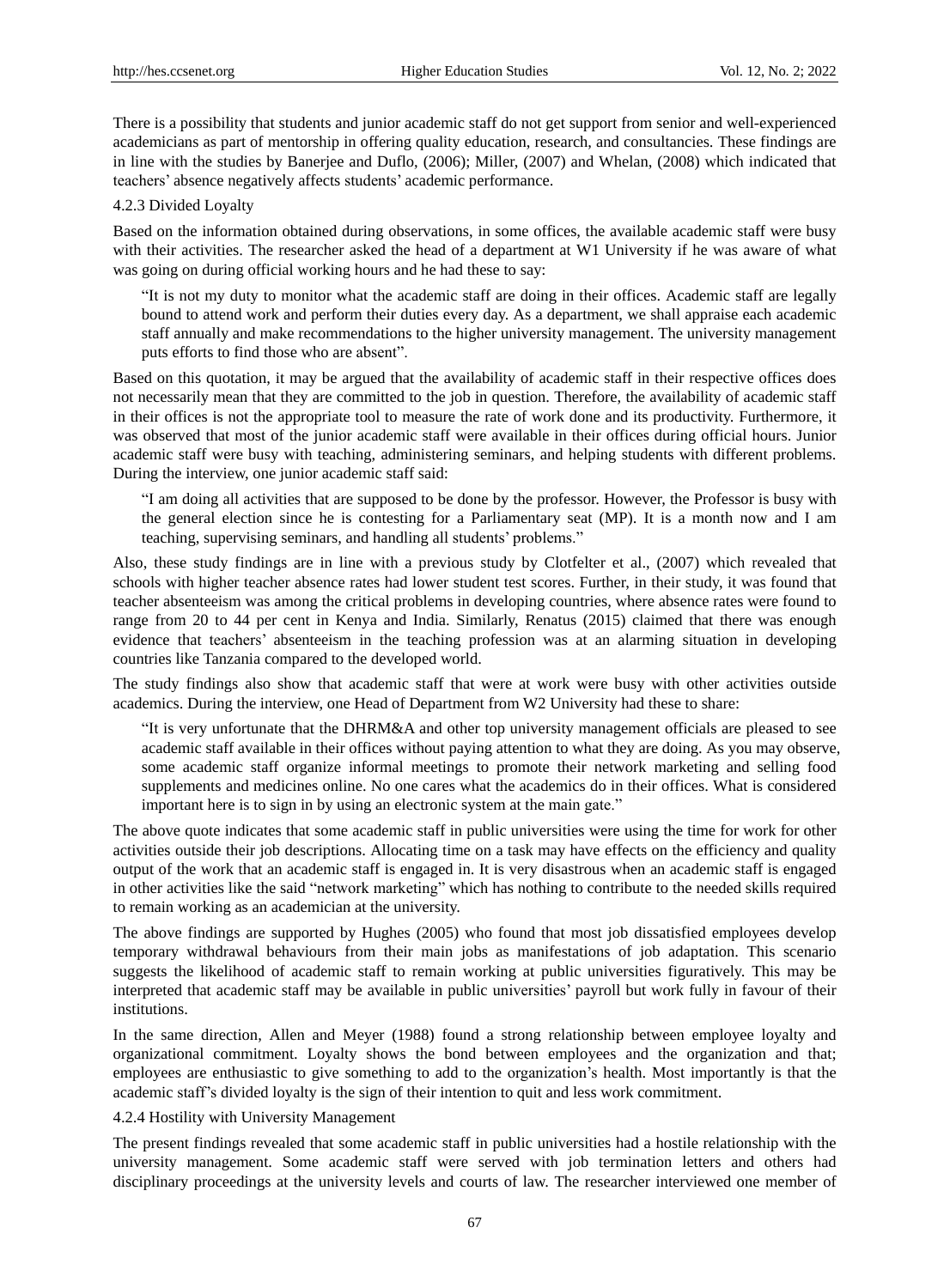There is a possibility that students and junior academic staff do not get support from senior and well-experienced academicians as part of mentorship in offering quality education, research, and consultancies. These findings are in line with the studies by Banerjee and Duflo, (2006); Miller, (2007) and Whelan, (2008) which indicated that teachers' absence negatively affects students' academic performance.

#### 4.2.3 Divided Loyalty

Based on the information obtained during observations, in some offices, the available academic staff were busy with their activities. The researcher asked the head of a department at W1 University if he was aware of what was going on during official working hours and he had these to say:

"It is not my duty to monitor what the academic staff are doing in their offices. Academic staff are legally bound to attend work and perform their duties every day. As a department, we shall appraise each academic staff annually and make recommendations to the higher university management. The university management puts efforts to find those who are absent".

Based on this quotation, it may be argued that the availability of academic staff in their respective offices does not necessarily mean that they are committed to the job in question. Therefore, the availability of academic staff in their offices is not the appropriate tool to measure the rate of work done and its productivity. Furthermore, it was observed that most of the junior academic staff were available in their offices during official hours. Junior academic staff were busy with teaching, administering seminars, and helping students with different problems. During the interview, one junior academic staff said:

"I am doing all activities that are supposed to be done by the professor. However, the Professor is busy with the general election since he is contesting for a Parliamentary seat (MP). It is a month now and I am teaching, supervising seminars, and handling all students' problems."

Also, these study findings are in line with a previous study by Clotfelter et al., (2007) which revealed that schools with higher teacher absence rates had lower student test scores. Further, in their study, it was found that teacher absenteeism was among the critical problems in developing countries, where absence rates were found to range from 20 to 44 per cent in Kenya and India. Similarly, Renatus (2015) claimed that there was enough evidence that teachers' absenteeism in the teaching profession was at an alarming situation in developing countries like Tanzania compared to the developed world.

The study findings also show that academic staff that were at work were busy with other activities outside academics. During the interview, one Head of Department from W2 University had these to share:

"It is very unfortunate that the DHRM&A and other top university management officials are pleased to see academic staff available in their offices without paying attention to what they are doing. As you may observe, some academic staff organize informal meetings to promote their network marketing and selling food supplements and medicines online. No one cares what the academics do in their offices. What is considered important here is to sign in by using an electronic system at the main gate."

The above quote indicates that some academic staff in public universities were using the time for work for other activities outside their job descriptions. Allocating time on a task may have effects on the efficiency and quality output of the work that an academic staff is engaged in. It is very disastrous when an academic staff is engaged in other activities like the said "network marketing" which has nothing to contribute to the needed skills required to remain working as an academician at the university.

The above findings are supported by Hughes (2005) who found that most job dissatisfied employees develop temporary withdrawal behaviours from their main jobs as manifestations of job adaptation. This scenario suggests the likelihood of academic staff to remain working at public universities figuratively. This may be interpreted that academic staff may be available in public universities' payroll but work fully in favour of their institutions.

In the same direction, Allen and Meyer (1988) found a strong relationship between employee loyalty and organizational commitment. Loyalty shows the bond between employees and the organization and that; employees are enthusiastic to give something to add to the organization's health. Most importantly is that the academic staff's divided loyalty is the sign of their intention to quit and less work commitment.

#### 4.2.4 Hostility with University Management

The present findings revealed that some academic staff in public universities had a hostile relationship with the university management. Some academic staff were served with job termination letters and others had disciplinary proceedings at the university levels and courts of law. The researcher interviewed one member of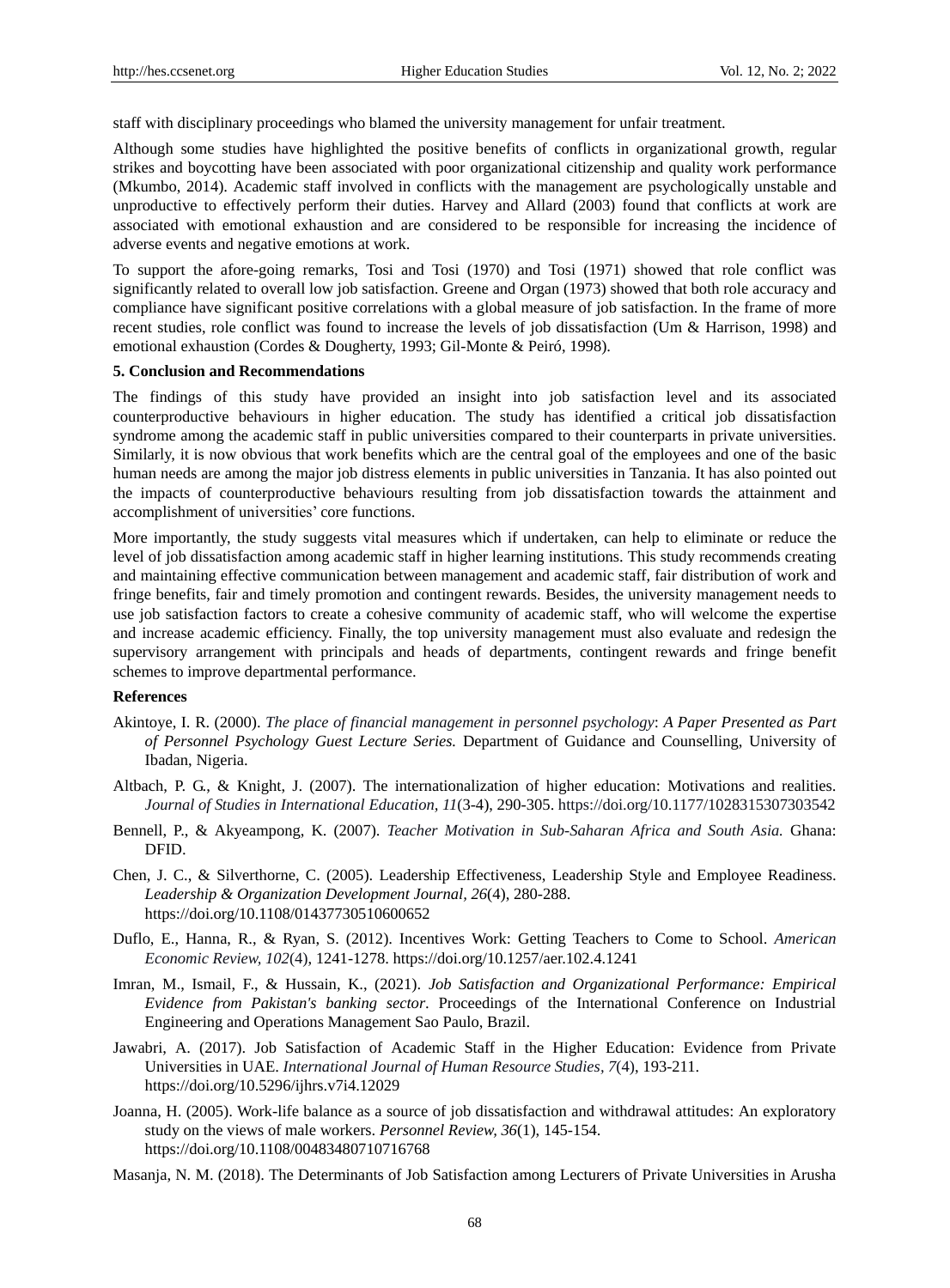staff with disciplinary proceedings who blamed the university management for unfair treatment.

Although some studies have highlighted the positive benefits of conflicts in organizational growth, regular strikes and boycotting have been associated with poor organizational citizenship and quality work performance (Mkumbo, 2014). Academic staff involved in conflicts with the management are psychologically unstable and unproductive to effectively perform their duties. Harvey and Allard (2003) found that conflicts at work are associated with emotional exhaustion and are considered to be responsible for increasing the incidence of adverse events and negative emotions at work.

To support the afore-going remarks, Tosi and Tosi (1970) and Tosi (1971) showed that role conflict was significantly related to overall low job satisfaction. Greene and Organ (1973) showed that both role accuracy and compliance have significant positive correlations with a global measure of job satisfaction. In the frame of more recent studies, role conflict was found to increase the levels of job dissatisfaction (Um & Harrison, 1998) and emotional exhaustion (Cordes & Dougherty, 1993; Gil-Monte & Peiró, 1998).

#### **5. Conclusion and Recommendations**

The findings of this study have provided an insight into job satisfaction level and its associated counterproductive behaviours in higher education. The study has identified a critical job dissatisfaction syndrome among the academic staff in public universities compared to their counterparts in private universities. Similarly, it is now obvious that work benefits which are the central goal of the employees and one of the basic human needs are among the major job distress elements in public universities in Tanzania. It has also pointed out the impacts of counterproductive behaviours resulting from job dissatisfaction towards the attainment and accomplishment of universities' core functions.

More importantly, the study suggests vital measures which if undertaken, can help to eliminate or reduce the level of job dissatisfaction among academic staff in higher learning institutions. This study recommends creating and maintaining effective communication between management and academic staff, fair distribution of work and fringe benefits, fair and timely promotion and contingent rewards. Besides, the university management needs to use job satisfaction factors to create a cohesive community of academic staff, who will welcome the expertise and increase academic efficiency. Finally, the top university management must also evaluate and redesign the supervisory arrangement with principals and heads of departments, contingent rewards and fringe benefit schemes to improve departmental performance.

## **References**

- Akintoye, I. R. (2000). *The place of financial management in personnel psychology*: *A Paper Presented as Part of Personnel Psychology Guest Lecture Series.* Department of Guidance and Counselling, University of Ibadan, Nigeria.
- Altbach, P. G., & Knight, J. (2007). The internationalization of higher education: Motivations and realities. *Journal of Studies in International Education, 11*(3-4), 290-305. https://doi.org/10.1177/1028315307303542
- Bennell, P., & Akyeampong, K. (2007). *Teacher Motivation in Sub-Saharan Africa and South Asia.* Ghana: DFID.
- Chen, J. C., & Silverthorne, C. (2005). Leadership Effectiveness, Leadership Style and Employee Readiness. *Leadership & Organization Development Journal, 26*(4), 280-288. https://doi.org/10.1108/01437730510600652
- Duflo, E., Hanna, R., & Ryan, S. (2012). Incentives Work: Getting Teachers to Come to School. *American Economic Review, 102*(4), 1241-1278. https://doi.org/10.1257/aer.102.4.1241
- Imran, M., Ismail, F., & Hussain, K., (2021). *Job Satisfaction and Organizational Performance: Empirical Evidence from Pakistan's banking sector*. Proceedings of the International Conference on Industrial Engineering and Operations Management Sao Paulo, Brazil.
- Jawabri, A. (2017). Job Satisfaction of Academic Staff in the Higher Education: Evidence from Private Universities in UAE. *International Journal of Human Resource Studies, 7*(4), 193-211. https://doi.org/10.5296/ijhrs.v7i4.12029
- Joanna, H. (2005). Work-life balance as a source of job dissatisfaction and withdrawal attitudes: An exploratory study on the views of male workers. *Personnel Review, 36*(1), 145-154. https://doi.org/10.1108/00483480710716768
- Masanja, N. M. (2018). The Determinants of Job Satisfaction among Lecturers of Private Universities in Arusha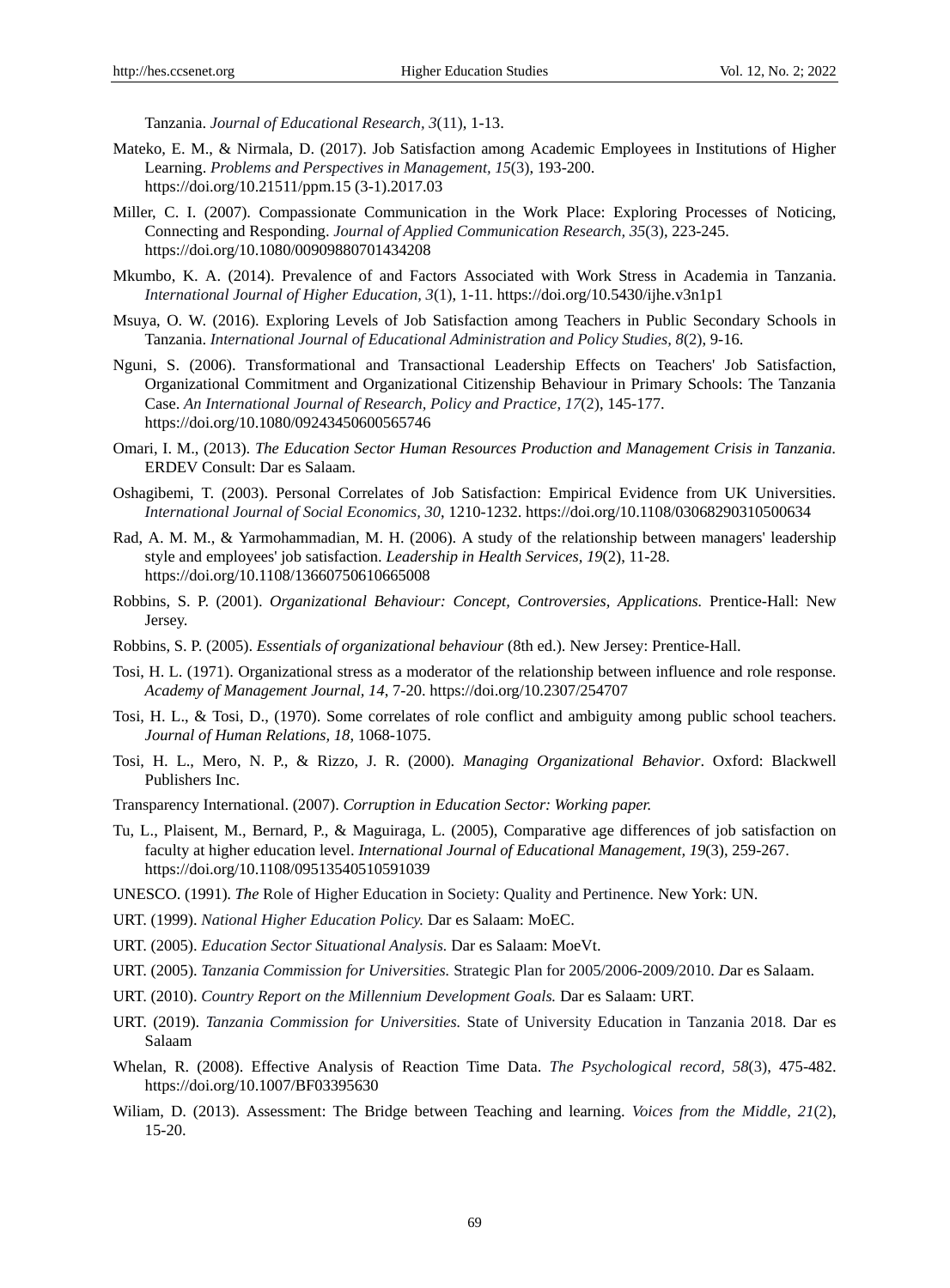Tanzania. *Journal of Educational Research, 3*(11), 1-13.

- Mateko, E. M., & Nirmala, D. (2017). Job Satisfaction among Academic Employees in Institutions of Higher Learning. *Problems and Perspectives in Management, 15*(3), 193-200. https://doi.org/10.21511/ppm.15 (3-1).2017.03
- Miller, C. I. (2007). Compassionate Communication in the Work Place: Exploring Processes of Noticing, Connecting and Responding. *Journal of Applied Communication Research, 35*(3), 223-245. https://doi.org/10.1080/00909880701434208
- Mkumbo, K. A. (2014). Prevalence of and Factors Associated with Work Stress in Academia in Tanzania. *International Journal of Higher Education, 3*(1), 1-11. https://doi.org/10.5430/ijhe.v3n1p1
- Msuya, O. W. (2016). Exploring Levels of Job Satisfaction among Teachers in Public Secondary Schools in Tanzania. *International Journal of Educational Administration and Policy Studies, 8*(2), 9-16.
- Nguni, S. (2006). Transformational and Transactional Leadership Effects on Teachers' Job Satisfaction, Organizational Commitment and Organizational Citizenship Behaviour in Primary Schools: The Tanzania Case. *An International Journal of Research, Policy and Practice, 17*(2), 145-177. https://doi.org/10.1080/09243450600565746
- Omari, I. M., (2013). *The Education Sector Human Resources Production and Management Crisis in Tanzania.* ERDEV Consult: Dar es Salaam.
- Oshagibemi, T. (2003). Personal Correlates of Job Satisfaction: Empirical Evidence from UK Universities. *International Journal of Social Economics, 30*, 1210-1232. https://doi.org/10.1108/03068290310500634
- Rad, A. M. M., & Yarmohammadian, M. H. (2006). A study of the relationship between managers' leadership style and employees' job satisfaction. *Leadership in Health Services, 19*(2), 11-28. https://doi.org/10.1108/13660750610665008
- Robbins, S. P. (2001). *Organizational Behaviour: Concept, Controversies, Applications.* Prentice-Hall: New Jersey.
- Robbins, S. P. (2005). *Essentials of organizational behaviour* (8th ed.). New Jersey: Prentice-Hall.
- Tosi, H. L. (1971). Organizational stress as a moderator of the relationship between influence and role response. *Academy of Management Journal, 14*, 7-20. https://doi.org/10.2307/254707
- Tosi, H. L., & Tosi, D., (1970). Some correlates of role conflict and ambiguity among public school teachers. *Journal of Human Relations, 18*, 1068-1075.
- Tosi, H. L., Mero, N. P., & Rizzo, J. R. (2000). *Managing Organizational Behavior*. Oxford: Blackwell Publishers Inc.
- Transparency International. (2007). *Corruption in Education Sector: Working paper.*
- Tu, L., Plaisent, M., Bernard, P., & Maguiraga, L. (2005), Comparative age differences of job satisfaction on faculty at higher education level. *International Journal of Educational Management, 19*(3), 259-267. https://doi.org/10.1108/09513540510591039
- UNESCO. (1991)*. The* Role of Higher Education in Society: Quality and Pertinence*.* New York: UN.
- URT. (1999). *National Higher Education Policy.* Dar es Salaam: MoEC.
- URT. (2005). *Education Sector Situational Analysis.* Dar es Salaam: MoeVt.
- URT. (2005). *Tanzania Commission for Universities.* Strategic Plan for 2005/2006-2009/2010. *D*ar es Salaam.
- URT. (2010). *Country Report on the Millennium Development Goals.* Dar es Salaam: URT.
- URT. (2019). *Tanzania Commission for Universities.* State of University Education in Tanzania 2018*.* Dar es Salaam
- Whelan, R. (2008). Effective Analysis of Reaction Time Data. *The Psychological record, 58*(3), 475-482. https://doi.org/10.1007/BF03395630
- Wiliam, D. (2013). Assessment: The Bridge between Teaching and learning. *Voices from the Middle, 21*(2), 15-20.